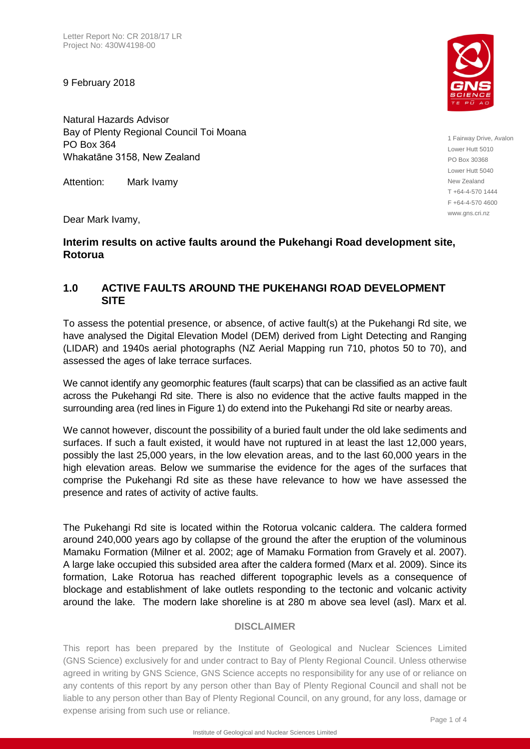9 February 2018

Natural Hazards Advisor Bay of Plenty Regional Council Toi Moana PO Box 364 Whakatāne 3158, New Zealand

Attention: Mark Ivamy

Dear Mark Ivamy,

## **Interim results on active faults around the Pukehangi Road development site, Rotorua**

## **1.0 ACTIVE FAULTS AROUND THE PUKEHANGI ROAD DEVELOPMENT SITE**

To assess the potential presence, or absence, of active fault(s) at the Pukehangi Rd site, we have analysed the Digital Elevation Model (DEM) derived from Light Detecting and Ranging (LIDAR) and 1940s aerial photographs (NZ Aerial Mapping run 710, photos 50 to 70), and assessed the ages of lake terrace surfaces.

We cannot identify any geomorphic features (fault scarps) that can be classified as an active fault across the Pukehangi Rd site. There is also no evidence that the active faults mapped in the surrounding area (red lines in Figure 1) do extend into the Pukehangi Rd site or nearby areas.

We cannot however, discount the possibility of a buried fault under the old lake sediments and surfaces. If such a fault existed, it would have not ruptured in at least the last 12,000 years, possibly the last 25,000 years, in the low elevation areas, and to the last 60,000 years in the high elevation areas. Below we summarise the evidence for the ages of the surfaces that comprise the Pukehangi Rd site as these have relevance to how we have assessed the presence and rates of activity of active faults.

The Pukehangi Rd site is located within the Rotorua volcanic caldera. The caldera formed around 240,000 years ago by collapse of the ground the after the eruption of the voluminous Mamaku Formation (Milner et al. 2002; age of Mamaku Formation from Gravely et al. 2007). A large lake occupied this subsided area after the caldera formed (Marx et al. 2009). Since its formation, Lake Rotorua has reached different topographic levels as a consequence of blockage and establishment of lake outlets responding to the tectonic and volcanic activity around the lake. The modern lake shoreline is at 280 m above sea level (asl). Marx et al.

## **DISCLAIMER**

This report has been prepared by the Institute of Geological and Nuclear Sciences Limited (GNS Science) exclusively for and under contract to Bay of Plenty Regional Council. Unless otherwise agreed in writing by GNS Science, GNS Science accepts no responsibility for any use of or reliance on any contents of this report by any person other than Bay of Plenty Regional Council and shall not be liable to any person other than Bay of Plenty Regional Council, on any ground, for any loss, damage or expense arising from such use or reliance.



1 Fairway Drive, Avalon Lower Hutt 5010 PO Box 30368 Lower Hutt 5040 New Zealand T +64-4-570 1444 F +64-4-570 4600 www.gns.cri.nz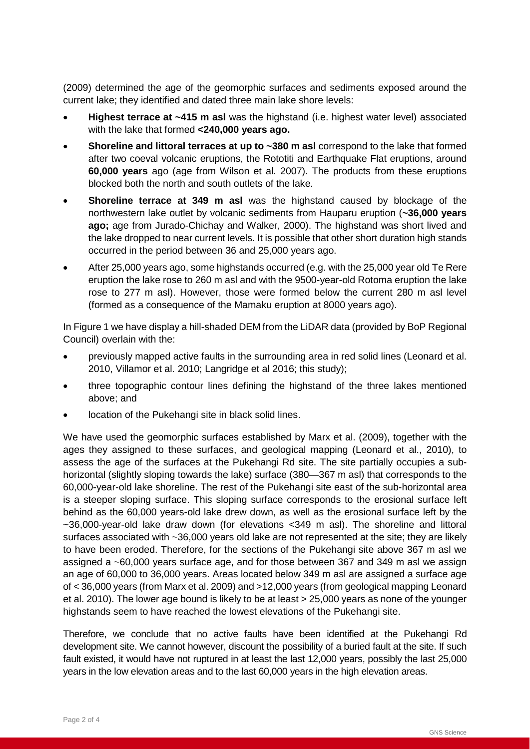(2009) determined the age of the geomorphic surfaces and sediments exposed around the current lake; they identified and dated three main lake shore levels:

- **Highest terrace at ~415 m asl** was the highstand (i.e. highest water level) associated with the lake that formed **<240,000 years ago.**
- **Shoreline and littoral terraces at up to ~380 m asl** correspond to the lake that formed after two coeval volcanic eruptions, the Rototiti and Earthquake Flat eruptions, around **60,000 years** ago (age from Wilson et al. 2007). The products from these eruptions blocked both the north and south outlets of the lake.
- **Shoreline terrace at 349 m asl** was the highstand caused by blockage of the northwestern lake outlet by volcanic sediments from Hauparu eruption (**~36,000 years ago;** age from Jurado-Chichay and Walker, 2000). The highstand was short lived and the lake dropped to near current levels. It is possible that other short duration high stands occurred in the period between 36 and 25,000 years ago.
- After 25,000 years ago, some highstands occurred (e.g. with the 25,000 year old Te Rere eruption the lake rose to 260 m asl and with the 9500-year-old Rotoma eruption the lake rose to 277 m asl). However, those were formed below the current 280 m asl level (formed as a consequence of the Mamaku eruption at 8000 years ago).

In Figure 1 we have display a hill-shaded DEM from the LiDAR data (provided by BoP Regional Council) overlain with the:

- previously mapped active faults in the surrounding area in red solid lines (Leonard et al. 2010, Villamor et al. 2010; Langridge et al 2016; this study);
- three topographic contour lines defining the highstand of the three lakes mentioned above; and
- location of the Pukehangi site in black solid lines.

We have used the geomorphic surfaces established by Marx et al. (2009), together with the ages they assigned to these surfaces, and geological mapping (Leonard et al., 2010), to assess the age of the surfaces at the Pukehangi Rd site. The site partially occupies a subhorizontal (slightly sloping towards the lake) surface (380—367 m asl) that corresponds to the 60,000-year-old lake shoreline. The rest of the Pukehangi site east of the sub-horizontal area is a steeper sloping surface. This sloping surface corresponds to the erosional surface left behind as the 60,000 years-old lake drew down, as well as the erosional surface left by the ~36,000-year-old lake draw down (for elevations <349 m asl). The shoreline and littoral surfaces associated with ~36,000 years old lake are not represented at the site; they are likely to have been eroded. Therefore, for the sections of the Pukehangi site above 367 m asl we assigned a ~60,000 years surface age, and for those between 367 and 349 m asl we assign an age of 60,000 to 36,000 years. Areas located below 349 m asl are assigned a surface age of < 36,000 years (from Marx et al. 2009) and >12,000 years (from geological mapping Leonard et al. 2010). The lower age bound is likely to be at least > 25,000 years as none of the younger highstands seem to have reached the lowest elevations of the Pukehangi site.

Therefore, we conclude that no active faults have been identified at the Pukehangi Rd development site. We cannot however, discount the possibility of a buried fault at the site. If such fault existed, it would have not ruptured in at least the last 12,000 years, possibly the last 25,000 years in the low elevation areas and to the last 60,000 years in the high elevation areas.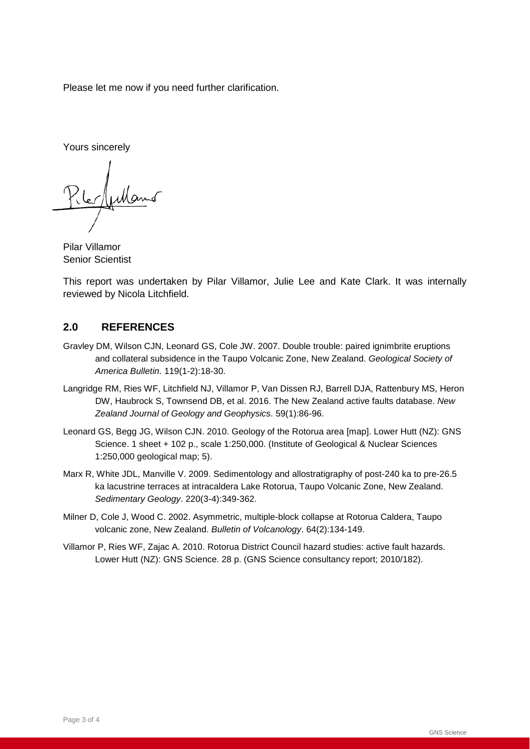Please let me now if you need further clarification.

Yours sincerely

Lles Author

Pilar Villamor Senior Scientist

This report was undertaken by Pilar Villamor, Julie Lee and Kate Clark. It was internally reviewed by Nicola Litchfield.

## **2.0 REFERENCES**

- Gravley DM, Wilson CJN, Leonard GS, Cole JW. 2007. Double trouble: paired ignimbrite eruptions and collateral subsidence in the Taupo Volcanic Zone, New Zealand. *Geological Society of America Bulletin*. 119(1-2):18-30.
- Langridge RM, Ries WF, Litchfield NJ, Villamor P, Van Dissen RJ, Barrell DJA, Rattenbury MS, Heron DW, Haubrock S, Townsend DB, et al. 2016. The New Zealand active faults database. *New Zealand Journal of Geology and Geophysics*. 59(1):86-96.
- Leonard GS, Begg JG, Wilson CJN. 2010. Geology of the Rotorua area [map]. Lower Hutt (NZ): GNS Science. 1 sheet + 102 p., scale 1:250,000. (Institute of Geological & Nuclear Sciences 1:250,000 geological map; 5).
- Marx R, White JDL, Manville V. 2009. Sedimentology and allostratigraphy of post-240 ka to pre-26.5 ka lacustrine terraces at intracaldera Lake Rotorua, Taupo Volcanic Zone, New Zealand. *Sedimentary Geology*. 220(3-4):349-362.
- Milner D, Cole J, Wood C. 2002. Asymmetric, multiple-block collapse at Rotorua Caldera, Taupo volcanic zone, New Zealand. *Bulletin of Volcanology*. 64(2):134-149.
- Villamor P, Ries WF, Zajac A. 2010. Rotorua District Council hazard studies: active fault hazards. Lower Hutt (NZ): GNS Science. 28 p. (GNS Science consultancy report; 2010/182).